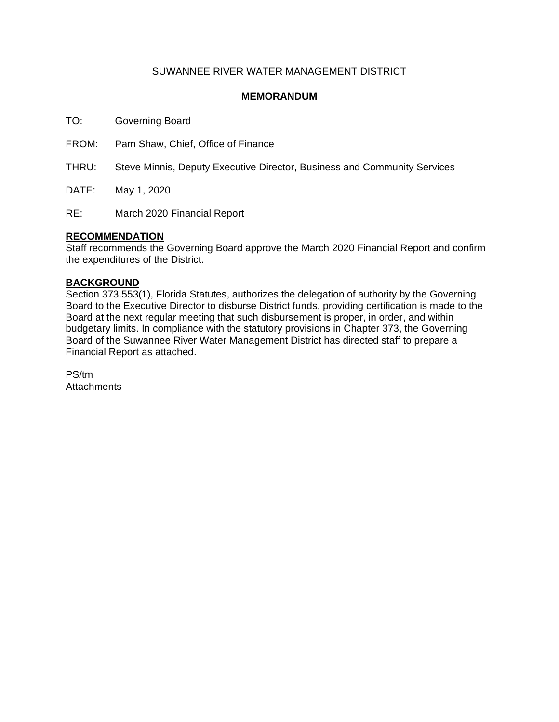### SUWANNEE RIVER WATER MANAGEMENT DISTRICT

#### **MEMORANDUM**

TO: Governing Board

FROM: Pam Shaw, Chief, Office of Finance

THRU: Steve Minnis, Deputy Executive Director, Business and Community Services

DATE: May 1, 2020

RE: March 2020 Financial Report

#### **RECOMMENDATION**

Staff recommends the Governing Board approve the March 2020 Financial Report and confirm the expenditures of the District.

#### **BACKGROUND**

Section 373.553(1), Florida Statutes, authorizes the delegation of authority by the Governing Board to the Executive Director to disburse District funds, providing certification is made to the Board at the next regular meeting that such disbursement is proper, in order, and within budgetary limits. In compliance with the statutory provisions in Chapter 373, the Governing Board of the Suwannee River Water Management District has directed staff to prepare a Financial Report as attached.

PS/tm **Attachments**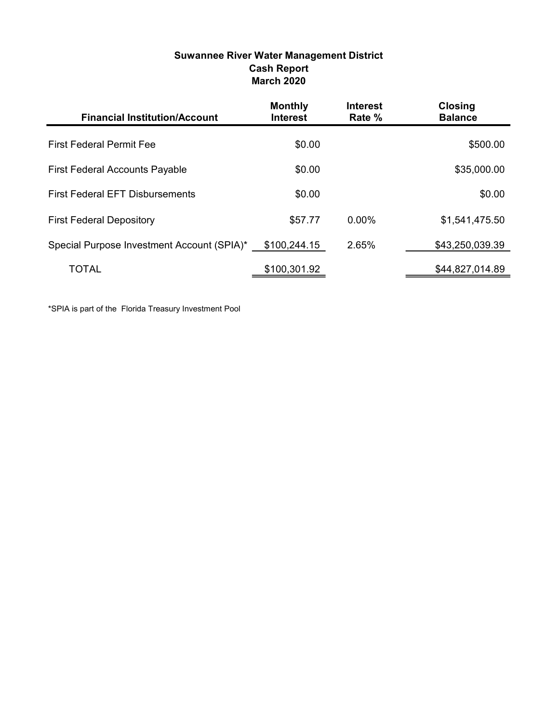| Suwannee River Water Management District |
|------------------------------------------|
| <b>Cash Report</b>                       |
| <b>March 2020</b>                        |

| <b>Financial Institution/Account</b>       | <b>Monthly</b><br><b>Interest</b> | <b>Interest</b><br>Rate % | <b>Closing</b><br><b>Balance</b> |
|--------------------------------------------|-----------------------------------|---------------------------|----------------------------------|
| <b>First Federal Permit Fee</b>            | \$0.00                            |                           | \$500.00                         |
| <b>First Federal Accounts Payable</b>      | \$0.00                            |                           | \$35,000.00                      |
| <b>First Federal EFT Disbursements</b>     | \$0.00                            |                           | \$0.00                           |
| <b>First Federal Depository</b>            | \$57.77                           | $0.00\%$                  | \$1,541,475.50                   |
| Special Purpose Investment Account (SPIA)* | \$100,244.15                      | 2.65%                     | \$43,250,039.39                  |
| TOTAL                                      | \$100,301.92                      |                           | \$44,827,014.89                  |

\*SPIA is part of the Florida Treasury Investment Pool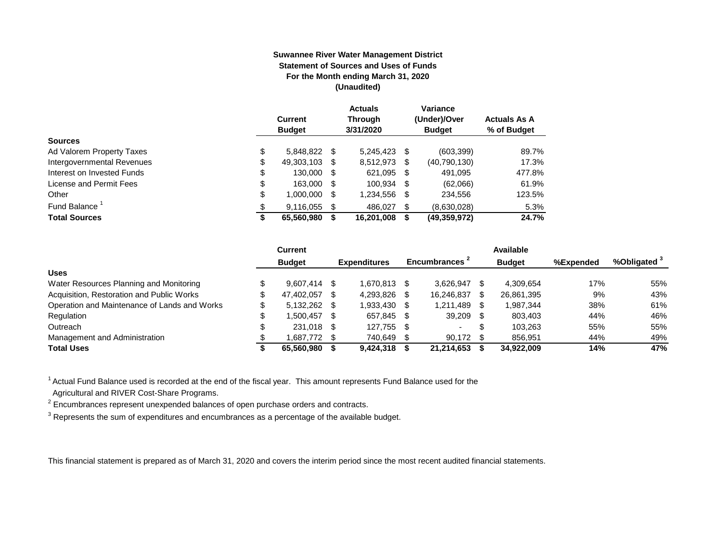#### **Suwannee River Water Management District Statement of Sources and Uses of Funds For the Month ending March 31, 2020 (Unaudited)**

|                                  | <b>Current</b><br><b>Budget</b> |      | <b>Actuals</b><br><b>Through</b><br>3/31/2020 |      | Variance<br>(Under)/Over<br><b>Budget</b> | <b>Actuals As A</b><br>% of Budget |
|----------------------------------|---------------------------------|------|-----------------------------------------------|------|-------------------------------------------|------------------------------------|
| <b>Sources</b>                   |                                 |      |                                               |      |                                           |                                    |
| \$<br>Ad Valorem Property Taxes  | 5,848,822 \$                    |      | 5.245.423                                     | S    | (603, 399)                                | 89.7%                              |
| Intergovernmental Revenues<br>\$ | 49,303,103                      | \$.  | 8,512,973                                     | S    | (40, 790, 130)                            | 17.3%                              |
| \$<br>Interest on Invested Funds | 130.000                         | - \$ | 621,095                                       | - \$ | 491.095                                   | 477.8%                             |
| \$<br>License and Permit Fees    | 163,000                         | -S   | 100.934                                       | - \$ | (62,066)                                  | 61.9%                              |
| \$<br>Other                      | 1,000,000                       | S    | 1,234,556                                     | S    | 234,556                                   | 123.5%                             |
| Fund Balance                     | 9,116,055                       | \$.  | 486.027                                       | \$.  | (8,630,028)                               | 5.3%                               |
| <b>Total Sources</b><br>S        | 65,560,980                      |      | 16,201,008                                    | S    | (49,359,972)                              | 24.7%                              |

|                                              | Current       |      |                     |      |                | Available     |           |                         |
|----------------------------------------------|---------------|------|---------------------|------|----------------|---------------|-----------|-------------------------|
|                                              | <b>Budget</b> |      | <b>Expenditures</b> |      | Encumbrances - | <b>Budget</b> | %Expended | %Obligated <sup>3</sup> |
| <b>Uses</b>                                  |               |      |                     |      |                |               |           |                         |
| Water Resources Planning and Monitoring      | 9,607,414 \$  |      | 1.670.813           |      | 3.626.947      | 4.309.654     | 17%       | 55%                     |
| Acquisition, Restoration and Public Works    | 47,402,057    | - \$ | 4,293,826           |      | 16.246.837     | 26,861,395    | 9%        | 43%                     |
| Operation and Maintenance of Lands and Works | 5,132,262 \$  |      | 1.933.430           |      | 1,211,489      | 1.987.344     | 38%       | 61%                     |
| Regulation                                   | 1.500.457     | - \$ | 657.845             | - \$ | 39.209         | 803.403       | 44%       | 46%                     |
| Outreach                                     | 231,018 \$    |      | 127.755             | -S   | . .            | 103.263       | 55%       | 55%                     |
| Management and Administration                | 1,687,772 \$  |      | 740,649             |      | 90,172         | 856,951       | 44%       | 49%                     |
| <b>Total Uses</b>                            | 65.560.980    |      | 9.424.318           |      | 21.214.653     | 34.922.009    | 14%       | 47%                     |

<sup>1</sup> Actual Fund Balance used is recorded at the end of the fiscal year. This amount represents Fund Balance used for the Agricultural and RIVER Cost-Share Programs.

 $2$  Encumbrances represent unexpended balances of open purchase orders and contracts.

 $^3$  Represents the sum of expenditures and encumbrances as a percentage of the available budget.

This financial statement is prepared as of March 31, 2020 and covers the interim period since the most recent audited financial statements.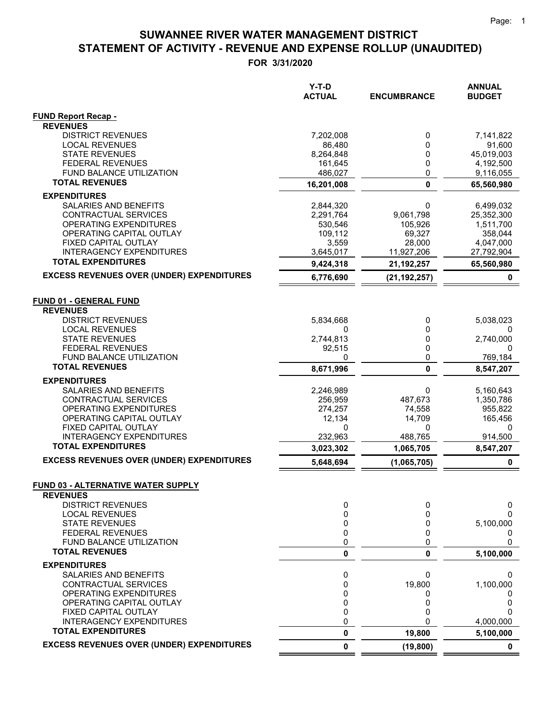|                                                              | $Y-T-D$       |                    | <b>ANNUAL</b> |
|--------------------------------------------------------------|---------------|--------------------|---------------|
|                                                              | <b>ACTUAL</b> | <b>ENCUMBRANCE</b> | <b>BUDGET</b> |
| <b>FUND Report Recap -</b>                                   |               |                    |               |
| <b>REVENUES</b>                                              |               |                    |               |
| <b>DISTRICT REVENUES</b>                                     | 7,202,008     | 0                  | 7,141,822     |
| <b>LOCAL REVENUES</b>                                        | 86,480        | 0                  | 91,600        |
| <b>STATE REVENUES</b>                                        | 8,264,848     | 0                  | 45,019,003    |
| <b>FEDERAL REVENUES</b>                                      | 161,645       | 0                  | 4,192,500     |
| FUND BALANCE UTILIZATION                                     | 486,027       | 0                  | 9,116,055     |
| <b>TOTAL REVENUES</b>                                        | 16,201,008    | $\mathbf{0}$       | 65,560,980    |
| <b>EXPENDITURES</b>                                          |               |                    |               |
| SALARIES AND BENEFITS                                        | 2,844,320     | 0                  | 6,499,032     |
| CONTRACTUAL SERVICES                                         | 2,291,764     | 9,061,798          | 25,352,300    |
| OPERATING EXPENDITURES                                       | 530,546       | 105,926            | 1,511,700     |
| OPERATING CAPITAL OUTLAY                                     | 109,112       | 69,327             | 358,044       |
| FIXED CAPITAL OUTLAY                                         | 3,559         | 28,000             | 4,047,000     |
| <b>INTERAGENCY EXPENDITURES</b><br><b>TOTAL EXPENDITURES</b> | 3,645,017     | 11,927,206         | 27,792,904    |
|                                                              | 9,424,318     | 21, 192, 257       | 65,560,980    |
| <b>EXCESS REVENUES OVER (UNDER) EXPENDITURES</b>             | 6,776,690     | (21, 192, 257)     | 0             |
| <b>FUND 01 - GENERAL FUND</b>                                |               |                    |               |
| <b>REVENUES</b>                                              |               |                    |               |
| <b>DISTRICT REVENUES</b>                                     | 5,834,668     | 0                  | 5,038,023     |
| <b>LOCAL REVENUES</b>                                        | 0             | 0                  | 0             |
| <b>STATE REVENUES</b>                                        | 2,744,813     | 0                  | 2,740,000     |
| <b>FEDERAL REVENUES</b>                                      | 92,515        | 0                  | 0             |
| FUND BALANCE UTILIZATION                                     | 0             | 0                  | 769,184       |
| <b>TOTAL REVENUES</b>                                        | 8,671,996     | $\mathbf 0$        | 8,547,207     |
| <b>EXPENDITURES</b>                                          |               |                    |               |
| SALARIES AND BENEFITS                                        | 2,246,989     | 0                  | 5,160,643     |
| CONTRACTUAL SERVICES                                         | 256,959       | 487,673            | 1,350,786     |
| OPERATING EXPENDITURES                                       | 274,257       | 74,558             | 955,822       |
| OPERATING CAPITAL OUTLAY                                     | 12,134        | 14,709             | 165,456       |
| FIXED CAPITAL OUTLAY                                         | 0             | 0                  | 0             |
| <b>INTERAGENCY EXPENDITURES</b>                              | 232,963       | 488,765            | 914,500       |
| <b>TOTAL EXPENDITURES</b>                                    | 3,023,302     | 1,065,705          | 8,547,207     |
| <b>EXCESS REVENUES OVER (UNDER) EXPENDITURES</b>             | 5,648,694     | (1,065,705)        | 0             |
|                                                              |               |                    |               |
| <u>FUND 03 - ALTERNATIVE WATER SUPPLY</u>                    |               |                    |               |
| <b>REVENUES</b><br><b>DISTRICT REVENUES</b>                  |               |                    |               |
| <b>LOCAL REVENUES</b>                                        | 0<br>0        | 0<br>0             | 0<br>0        |
| <b>STATE REVENUES</b>                                        | 0             | 0                  | 5,100,000     |
| <b>FEDERAL REVENUES</b>                                      | 0             | 0                  | 0             |
| FUND BALANCE UTILIZATION                                     | 0             | 0                  | 0             |
| <b>TOTAL REVENUES</b>                                        | $\pmb{0}$     | 0                  | 5,100,000     |
| <b>EXPENDITURES</b>                                          |               |                    |               |
| SALARIES AND BENEFITS                                        | 0             | 0                  | 0             |
| CONTRACTUAL SERVICES                                         | 0             | 19,800             | 1,100,000     |
| OPERATING EXPENDITURES                                       | 0             | 0                  | $\Omega$      |
| OPERATING CAPITAL OUTLAY                                     | 0             | 0                  | 0             |
| FIXED CAPITAL OUTLAY                                         | 0             | 0                  | 0             |
| <b>INTERAGENCY EXPENDITURES</b>                              | 0             | 0                  | 4,000,000     |
| <b>TOTAL EXPENDITURES</b>                                    | 0             | 19,800             | 5,100,000     |
| <b>EXCESS REVENUES OVER (UNDER) EXPENDITURES</b>             | 0             | (19, 800)          | 0             |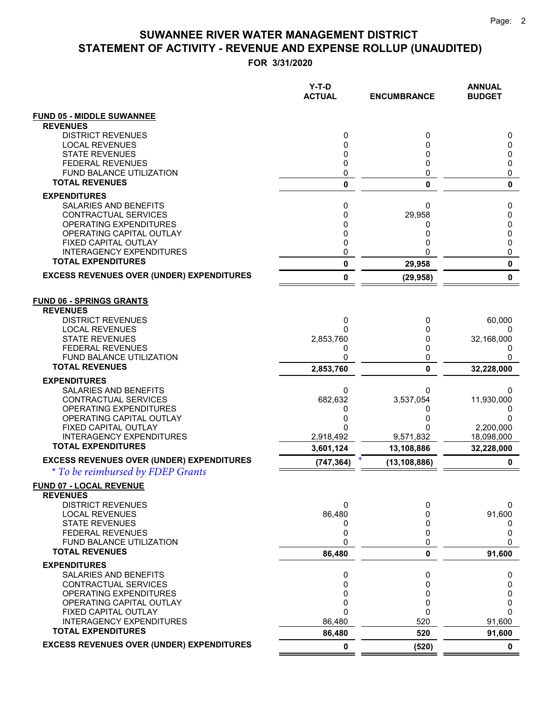| <b>FUND 05 - MIDDLE SUWANNEE</b><br><b>REVENUES</b><br><b>DISTRICT REVENUES</b><br>0<br>0<br>0<br><b>LOCAL REVENUES</b><br>0<br>0<br>0<br><b>STATE REVENUES</b><br>0<br>0<br>0<br><b>FEDERAL REVENUES</b><br>0<br>0<br>0<br>0<br><b>FUND BALANCE UTILIZATION</b><br>0<br>0<br><b>TOTAL REVENUES</b><br>0<br>0<br>0<br><b>EXPENDITURES</b><br>SALARIES AND BENEFITS<br>0<br>0<br>0<br>CONTRACTUAL SERVICES<br>0<br>29,958<br>0<br>OPERATING EXPENDITURES<br>0<br>0<br>0<br>OPERATING CAPITAL OUTLAY<br>0<br>0<br>0<br>FIXED CAPITAL OUTLAY<br>0<br>0<br>0<br>0<br><b>INTERAGENCY EXPENDITURES</b><br>0<br>U<br><b>TOTAL EXPENDITURES</b><br>0<br>0<br>29,958<br><b>EXCESS REVENUES OVER (UNDER) EXPENDITURES</b><br>0<br>0<br>(29, 958)<br><b>FUND 06 - SPRINGS GRANTS</b><br><b>REVENUES</b><br><b>DISTRICT REVENUES</b><br>60,000<br>0<br>0<br><b>LOCAL REVENUES</b><br>0<br>0<br><b>STATE REVENUES</b><br>2,853,760<br>32,168,000<br>0<br><b>FEDERAL REVENUES</b><br>0<br>0<br>0<br><b>FUND BALANCE UTILIZATION</b><br>0<br>0<br>0<br><b>TOTAL REVENUES</b><br>$\mathbf{0}$<br>2,853,760<br>32,228,000<br><b>EXPENDITURES</b><br>SALARIES AND BENEFITS<br>0<br>0<br>0<br>682,632<br>3,537,054<br>11,930,000<br>CONTRACTUAL SERVICES<br>OPERATING EXPENDITURES<br>0<br>0<br>0<br>OPERATING CAPITAL OUTLAY<br>0<br>0<br>0<br>FIXED CAPITAL OUTLAY<br>0<br>2,200,000<br><b>INTERAGENCY EXPENDITURES</b><br>2,918,492<br>9,571,832<br>18,098,000<br><b>TOTAL EXPENDITURES</b><br>13,108,886<br>3,601,124<br>32,228,000<br><b>EXCESS REVENUES OVER (UNDER) EXPENDITURES</b><br>(747, 364)<br>(13, 108, 886)<br>0<br>* To be reimbursed by FDEP Grants<br><b>FUND 07 - LOCAL REVENUE</b><br><b>REVENUES</b><br><b>DISTRICT REVENUES</b><br>0<br>0<br>0<br>86,480<br><b>LOCAL REVENUES</b><br>91,600<br>0<br><b>STATE REVENUES</b><br>0<br>0<br>0<br>0<br><b>FEDERAL REVENUES</b><br>0<br>0<br>FUND BALANCE UTILIZATION<br>0<br>0<br>0<br><b>TOTAL REVENUES</b><br>86,480<br>0<br>91,600<br><b>EXPENDITURES</b><br>SALARIES AND BENEFITS<br>0<br>0<br>0<br>CONTRACTUAL SERVICES<br>0<br>0<br>0<br>OPERATING EXPENDITURES<br>0<br>0<br>0<br>OPERATING CAPITAL OUTLAY<br>0<br>0<br>0<br>$\mathbf{0}$<br>FIXED CAPITAL OUTLAY<br>0<br>0<br><b>INTERAGENCY EXPENDITURES</b><br>520<br>86,480<br>91,600<br><b>TOTAL EXPENDITURES</b><br>86,480<br>520<br>91,600<br><b>EXCESS REVENUES OVER (UNDER) EXPENDITURES</b><br>0<br>(520)<br>0 | $Y-T-D$<br><b>ACTUAL</b> | <b>ENCUMBRANCE</b> | <b>ANNUAL</b><br><b>BUDGET</b> |
|------------------------------------------------------------------------------------------------------------------------------------------------------------------------------------------------------------------------------------------------------------------------------------------------------------------------------------------------------------------------------------------------------------------------------------------------------------------------------------------------------------------------------------------------------------------------------------------------------------------------------------------------------------------------------------------------------------------------------------------------------------------------------------------------------------------------------------------------------------------------------------------------------------------------------------------------------------------------------------------------------------------------------------------------------------------------------------------------------------------------------------------------------------------------------------------------------------------------------------------------------------------------------------------------------------------------------------------------------------------------------------------------------------------------------------------------------------------------------------------------------------------------------------------------------------------------------------------------------------------------------------------------------------------------------------------------------------------------------------------------------------------------------------------------------------------------------------------------------------------------------------------------------------------------------------------------------------------------------------------------------------------------------------------------------------------------------------------------------------------------------------------------------------------------------------------------------------------------------------------------------------------------------------------------------------------------------------------------------------------------------------------------------------------------------|--------------------------|--------------------|--------------------------------|
|                                                                                                                                                                                                                                                                                                                                                                                                                                                                                                                                                                                                                                                                                                                                                                                                                                                                                                                                                                                                                                                                                                                                                                                                                                                                                                                                                                                                                                                                                                                                                                                                                                                                                                                                                                                                                                                                                                                                                                                                                                                                                                                                                                                                                                                                                                                                                                                                                              |                          |                    |                                |
|                                                                                                                                                                                                                                                                                                                                                                                                                                                                                                                                                                                                                                                                                                                                                                                                                                                                                                                                                                                                                                                                                                                                                                                                                                                                                                                                                                                                                                                                                                                                                                                                                                                                                                                                                                                                                                                                                                                                                                                                                                                                                                                                                                                                                                                                                                                                                                                                                              |                          |                    |                                |
|                                                                                                                                                                                                                                                                                                                                                                                                                                                                                                                                                                                                                                                                                                                                                                                                                                                                                                                                                                                                                                                                                                                                                                                                                                                                                                                                                                                                                                                                                                                                                                                                                                                                                                                                                                                                                                                                                                                                                                                                                                                                                                                                                                                                                                                                                                                                                                                                                              |                          |                    |                                |
|                                                                                                                                                                                                                                                                                                                                                                                                                                                                                                                                                                                                                                                                                                                                                                                                                                                                                                                                                                                                                                                                                                                                                                                                                                                                                                                                                                                                                                                                                                                                                                                                                                                                                                                                                                                                                                                                                                                                                                                                                                                                                                                                                                                                                                                                                                                                                                                                                              |                          |                    |                                |
|                                                                                                                                                                                                                                                                                                                                                                                                                                                                                                                                                                                                                                                                                                                                                                                                                                                                                                                                                                                                                                                                                                                                                                                                                                                                                                                                                                                                                                                                                                                                                                                                                                                                                                                                                                                                                                                                                                                                                                                                                                                                                                                                                                                                                                                                                                                                                                                                                              |                          |                    |                                |
|                                                                                                                                                                                                                                                                                                                                                                                                                                                                                                                                                                                                                                                                                                                                                                                                                                                                                                                                                                                                                                                                                                                                                                                                                                                                                                                                                                                                                                                                                                                                                                                                                                                                                                                                                                                                                                                                                                                                                                                                                                                                                                                                                                                                                                                                                                                                                                                                                              |                          |                    |                                |
|                                                                                                                                                                                                                                                                                                                                                                                                                                                                                                                                                                                                                                                                                                                                                                                                                                                                                                                                                                                                                                                                                                                                                                                                                                                                                                                                                                                                                                                                                                                                                                                                                                                                                                                                                                                                                                                                                                                                                                                                                                                                                                                                                                                                                                                                                                                                                                                                                              |                          |                    |                                |
|                                                                                                                                                                                                                                                                                                                                                                                                                                                                                                                                                                                                                                                                                                                                                                                                                                                                                                                                                                                                                                                                                                                                                                                                                                                                                                                                                                                                                                                                                                                                                                                                                                                                                                                                                                                                                                                                                                                                                                                                                                                                                                                                                                                                                                                                                                                                                                                                                              |                          |                    |                                |
|                                                                                                                                                                                                                                                                                                                                                                                                                                                                                                                                                                                                                                                                                                                                                                                                                                                                                                                                                                                                                                                                                                                                                                                                                                                                                                                                                                                                                                                                                                                                                                                                                                                                                                                                                                                                                                                                                                                                                                                                                                                                                                                                                                                                                                                                                                                                                                                                                              |                          |                    |                                |
|                                                                                                                                                                                                                                                                                                                                                                                                                                                                                                                                                                                                                                                                                                                                                                                                                                                                                                                                                                                                                                                                                                                                                                                                                                                                                                                                                                                                                                                                                                                                                                                                                                                                                                                                                                                                                                                                                                                                                                                                                                                                                                                                                                                                                                                                                                                                                                                                                              |                          |                    |                                |
|                                                                                                                                                                                                                                                                                                                                                                                                                                                                                                                                                                                                                                                                                                                                                                                                                                                                                                                                                                                                                                                                                                                                                                                                                                                                                                                                                                                                                                                                                                                                                                                                                                                                                                                                                                                                                                                                                                                                                                                                                                                                                                                                                                                                                                                                                                                                                                                                                              |                          |                    |                                |
|                                                                                                                                                                                                                                                                                                                                                                                                                                                                                                                                                                                                                                                                                                                                                                                                                                                                                                                                                                                                                                                                                                                                                                                                                                                                                                                                                                                                                                                                                                                                                                                                                                                                                                                                                                                                                                                                                                                                                                                                                                                                                                                                                                                                                                                                                                                                                                                                                              |                          |                    |                                |
|                                                                                                                                                                                                                                                                                                                                                                                                                                                                                                                                                                                                                                                                                                                                                                                                                                                                                                                                                                                                                                                                                                                                                                                                                                                                                                                                                                                                                                                                                                                                                                                                                                                                                                                                                                                                                                                                                                                                                                                                                                                                                                                                                                                                                                                                                                                                                                                                                              |                          |                    |                                |
|                                                                                                                                                                                                                                                                                                                                                                                                                                                                                                                                                                                                                                                                                                                                                                                                                                                                                                                                                                                                                                                                                                                                                                                                                                                                                                                                                                                                                                                                                                                                                                                                                                                                                                                                                                                                                                                                                                                                                                                                                                                                                                                                                                                                                                                                                                                                                                                                                              |                          |                    |                                |
|                                                                                                                                                                                                                                                                                                                                                                                                                                                                                                                                                                                                                                                                                                                                                                                                                                                                                                                                                                                                                                                                                                                                                                                                                                                                                                                                                                                                                                                                                                                                                                                                                                                                                                                                                                                                                                                                                                                                                                                                                                                                                                                                                                                                                                                                                                                                                                                                                              |                          |                    |                                |
|                                                                                                                                                                                                                                                                                                                                                                                                                                                                                                                                                                                                                                                                                                                                                                                                                                                                                                                                                                                                                                                                                                                                                                                                                                                                                                                                                                                                                                                                                                                                                                                                                                                                                                                                                                                                                                                                                                                                                                                                                                                                                                                                                                                                                                                                                                                                                                                                                              |                          |                    |                                |
|                                                                                                                                                                                                                                                                                                                                                                                                                                                                                                                                                                                                                                                                                                                                                                                                                                                                                                                                                                                                                                                                                                                                                                                                                                                                                                                                                                                                                                                                                                                                                                                                                                                                                                                                                                                                                                                                                                                                                                                                                                                                                                                                                                                                                                                                                                                                                                                                                              |                          |                    |                                |
|                                                                                                                                                                                                                                                                                                                                                                                                                                                                                                                                                                                                                                                                                                                                                                                                                                                                                                                                                                                                                                                                                                                                                                                                                                                                                                                                                                                                                                                                                                                                                                                                                                                                                                                                                                                                                                                                                                                                                                                                                                                                                                                                                                                                                                                                                                                                                                                                                              |                          |                    |                                |
|                                                                                                                                                                                                                                                                                                                                                                                                                                                                                                                                                                                                                                                                                                                                                                                                                                                                                                                                                                                                                                                                                                                                                                                                                                                                                                                                                                                                                                                                                                                                                                                                                                                                                                                                                                                                                                                                                                                                                                                                                                                                                                                                                                                                                                                                                                                                                                                                                              |                          |                    |                                |
|                                                                                                                                                                                                                                                                                                                                                                                                                                                                                                                                                                                                                                                                                                                                                                                                                                                                                                                                                                                                                                                                                                                                                                                                                                                                                                                                                                                                                                                                                                                                                                                                                                                                                                                                                                                                                                                                                                                                                                                                                                                                                                                                                                                                                                                                                                                                                                                                                              |                          |                    |                                |
|                                                                                                                                                                                                                                                                                                                                                                                                                                                                                                                                                                                                                                                                                                                                                                                                                                                                                                                                                                                                                                                                                                                                                                                                                                                                                                                                                                                                                                                                                                                                                                                                                                                                                                                                                                                                                                                                                                                                                                                                                                                                                                                                                                                                                                                                                                                                                                                                                              |                          |                    |                                |
|                                                                                                                                                                                                                                                                                                                                                                                                                                                                                                                                                                                                                                                                                                                                                                                                                                                                                                                                                                                                                                                                                                                                                                                                                                                                                                                                                                                                                                                                                                                                                                                                                                                                                                                                                                                                                                                                                                                                                                                                                                                                                                                                                                                                                                                                                                                                                                                                                              |                          |                    |                                |
|                                                                                                                                                                                                                                                                                                                                                                                                                                                                                                                                                                                                                                                                                                                                                                                                                                                                                                                                                                                                                                                                                                                                                                                                                                                                                                                                                                                                                                                                                                                                                                                                                                                                                                                                                                                                                                                                                                                                                                                                                                                                                                                                                                                                                                                                                                                                                                                                                              |                          |                    |                                |
|                                                                                                                                                                                                                                                                                                                                                                                                                                                                                                                                                                                                                                                                                                                                                                                                                                                                                                                                                                                                                                                                                                                                                                                                                                                                                                                                                                                                                                                                                                                                                                                                                                                                                                                                                                                                                                                                                                                                                                                                                                                                                                                                                                                                                                                                                                                                                                                                                              |                          |                    |                                |
|                                                                                                                                                                                                                                                                                                                                                                                                                                                                                                                                                                                                                                                                                                                                                                                                                                                                                                                                                                                                                                                                                                                                                                                                                                                                                                                                                                                                                                                                                                                                                                                                                                                                                                                                                                                                                                                                                                                                                                                                                                                                                                                                                                                                                                                                                                                                                                                                                              |                          |                    |                                |
|                                                                                                                                                                                                                                                                                                                                                                                                                                                                                                                                                                                                                                                                                                                                                                                                                                                                                                                                                                                                                                                                                                                                                                                                                                                                                                                                                                                                                                                                                                                                                                                                                                                                                                                                                                                                                                                                                                                                                                                                                                                                                                                                                                                                                                                                                                                                                                                                                              |                          |                    |                                |
|                                                                                                                                                                                                                                                                                                                                                                                                                                                                                                                                                                                                                                                                                                                                                                                                                                                                                                                                                                                                                                                                                                                                                                                                                                                                                                                                                                                                                                                                                                                                                                                                                                                                                                                                                                                                                                                                                                                                                                                                                                                                                                                                                                                                                                                                                                                                                                                                                              |                          |                    |                                |
|                                                                                                                                                                                                                                                                                                                                                                                                                                                                                                                                                                                                                                                                                                                                                                                                                                                                                                                                                                                                                                                                                                                                                                                                                                                                                                                                                                                                                                                                                                                                                                                                                                                                                                                                                                                                                                                                                                                                                                                                                                                                                                                                                                                                                                                                                                                                                                                                                              |                          |                    |                                |
|                                                                                                                                                                                                                                                                                                                                                                                                                                                                                                                                                                                                                                                                                                                                                                                                                                                                                                                                                                                                                                                                                                                                                                                                                                                                                                                                                                                                                                                                                                                                                                                                                                                                                                                                                                                                                                                                                                                                                                                                                                                                                                                                                                                                                                                                                                                                                                                                                              |                          |                    |                                |
|                                                                                                                                                                                                                                                                                                                                                                                                                                                                                                                                                                                                                                                                                                                                                                                                                                                                                                                                                                                                                                                                                                                                                                                                                                                                                                                                                                                                                                                                                                                                                                                                                                                                                                                                                                                                                                                                                                                                                                                                                                                                                                                                                                                                                                                                                                                                                                                                                              |                          |                    |                                |
|                                                                                                                                                                                                                                                                                                                                                                                                                                                                                                                                                                                                                                                                                                                                                                                                                                                                                                                                                                                                                                                                                                                                                                                                                                                                                                                                                                                                                                                                                                                                                                                                                                                                                                                                                                                                                                                                                                                                                                                                                                                                                                                                                                                                                                                                                                                                                                                                                              |                          |                    |                                |
|                                                                                                                                                                                                                                                                                                                                                                                                                                                                                                                                                                                                                                                                                                                                                                                                                                                                                                                                                                                                                                                                                                                                                                                                                                                                                                                                                                                                                                                                                                                                                                                                                                                                                                                                                                                                                                                                                                                                                                                                                                                                                                                                                                                                                                                                                                                                                                                                                              |                          |                    |                                |
|                                                                                                                                                                                                                                                                                                                                                                                                                                                                                                                                                                                                                                                                                                                                                                                                                                                                                                                                                                                                                                                                                                                                                                                                                                                                                                                                                                                                                                                                                                                                                                                                                                                                                                                                                                                                                                                                                                                                                                                                                                                                                                                                                                                                                                                                                                                                                                                                                              |                          |                    |                                |
|                                                                                                                                                                                                                                                                                                                                                                                                                                                                                                                                                                                                                                                                                                                                                                                                                                                                                                                                                                                                                                                                                                                                                                                                                                                                                                                                                                                                                                                                                                                                                                                                                                                                                                                                                                                                                                                                                                                                                                                                                                                                                                                                                                                                                                                                                                                                                                                                                              |                          |                    |                                |
|                                                                                                                                                                                                                                                                                                                                                                                                                                                                                                                                                                                                                                                                                                                                                                                                                                                                                                                                                                                                                                                                                                                                                                                                                                                                                                                                                                                                                                                                                                                                                                                                                                                                                                                                                                                                                                                                                                                                                                                                                                                                                                                                                                                                                                                                                                                                                                                                                              |                          |                    |                                |
|                                                                                                                                                                                                                                                                                                                                                                                                                                                                                                                                                                                                                                                                                                                                                                                                                                                                                                                                                                                                                                                                                                                                                                                                                                                                                                                                                                                                                                                                                                                                                                                                                                                                                                                                                                                                                                                                                                                                                                                                                                                                                                                                                                                                                                                                                                                                                                                                                              |                          |                    |                                |
|                                                                                                                                                                                                                                                                                                                                                                                                                                                                                                                                                                                                                                                                                                                                                                                                                                                                                                                                                                                                                                                                                                                                                                                                                                                                                                                                                                                                                                                                                                                                                                                                                                                                                                                                                                                                                                                                                                                                                                                                                                                                                                                                                                                                                                                                                                                                                                                                                              |                          |                    |                                |
|                                                                                                                                                                                                                                                                                                                                                                                                                                                                                                                                                                                                                                                                                                                                                                                                                                                                                                                                                                                                                                                                                                                                                                                                                                                                                                                                                                                                                                                                                                                                                                                                                                                                                                                                                                                                                                                                                                                                                                                                                                                                                                                                                                                                                                                                                                                                                                                                                              |                          |                    |                                |
|                                                                                                                                                                                                                                                                                                                                                                                                                                                                                                                                                                                                                                                                                                                                                                                                                                                                                                                                                                                                                                                                                                                                                                                                                                                                                                                                                                                                                                                                                                                                                                                                                                                                                                                                                                                                                                                                                                                                                                                                                                                                                                                                                                                                                                                                                                                                                                                                                              |                          |                    |                                |
|                                                                                                                                                                                                                                                                                                                                                                                                                                                                                                                                                                                                                                                                                                                                                                                                                                                                                                                                                                                                                                                                                                                                                                                                                                                                                                                                                                                                                                                                                                                                                                                                                                                                                                                                                                                                                                                                                                                                                                                                                                                                                                                                                                                                                                                                                                                                                                                                                              |                          |                    |                                |
|                                                                                                                                                                                                                                                                                                                                                                                                                                                                                                                                                                                                                                                                                                                                                                                                                                                                                                                                                                                                                                                                                                                                                                                                                                                                                                                                                                                                                                                                                                                                                                                                                                                                                                                                                                                                                                                                                                                                                                                                                                                                                                                                                                                                                                                                                                                                                                                                                              |                          |                    |                                |
|                                                                                                                                                                                                                                                                                                                                                                                                                                                                                                                                                                                                                                                                                                                                                                                                                                                                                                                                                                                                                                                                                                                                                                                                                                                                                                                                                                                                                                                                                                                                                                                                                                                                                                                                                                                                                                                                                                                                                                                                                                                                                                                                                                                                                                                                                                                                                                                                                              |                          |                    |                                |
|                                                                                                                                                                                                                                                                                                                                                                                                                                                                                                                                                                                                                                                                                                                                                                                                                                                                                                                                                                                                                                                                                                                                                                                                                                                                                                                                                                                                                                                                                                                                                                                                                                                                                                                                                                                                                                                                                                                                                                                                                                                                                                                                                                                                                                                                                                                                                                                                                              |                          |                    |                                |
|                                                                                                                                                                                                                                                                                                                                                                                                                                                                                                                                                                                                                                                                                                                                                                                                                                                                                                                                                                                                                                                                                                                                                                                                                                                                                                                                                                                                                                                                                                                                                                                                                                                                                                                                                                                                                                                                                                                                                                                                                                                                                                                                                                                                                                                                                                                                                                                                                              |                          |                    |                                |
|                                                                                                                                                                                                                                                                                                                                                                                                                                                                                                                                                                                                                                                                                                                                                                                                                                                                                                                                                                                                                                                                                                                                                                                                                                                                                                                                                                                                                                                                                                                                                                                                                                                                                                                                                                                                                                                                                                                                                                                                                                                                                                                                                                                                                                                                                                                                                                                                                              |                          |                    |                                |
|                                                                                                                                                                                                                                                                                                                                                                                                                                                                                                                                                                                                                                                                                                                                                                                                                                                                                                                                                                                                                                                                                                                                                                                                                                                                                                                                                                                                                                                                                                                                                                                                                                                                                                                                                                                                                                                                                                                                                                                                                                                                                                                                                                                                                                                                                                                                                                                                                              |                          |                    |                                |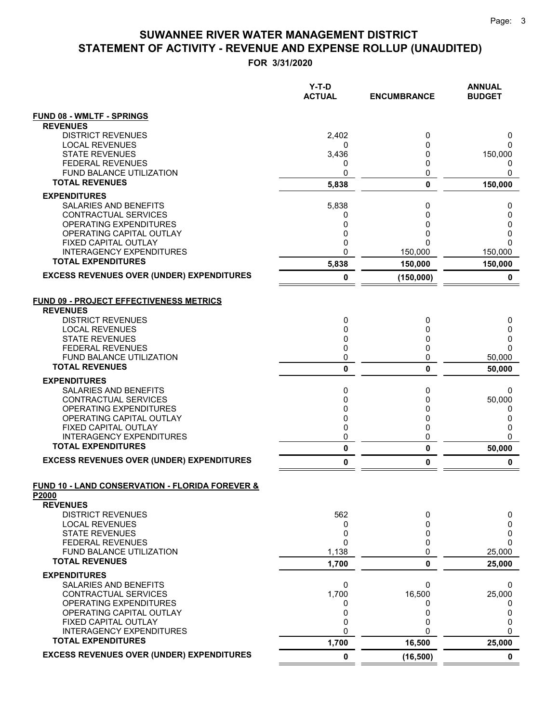|                                                                                        | $Y-T-D$<br><b>ACTUAL</b> | <b>ENCUMBRANCE</b> | <b>ANNUAL</b><br><b>BUDGET</b> |
|----------------------------------------------------------------------------------------|--------------------------|--------------------|--------------------------------|
| <b>FUND 08 - WMLTF - SPRINGS</b>                                                       |                          |                    |                                |
| <b>REVENUES</b>                                                                        |                          |                    |                                |
| <b>DISTRICT REVENUES</b>                                                               | 2,402                    | 0                  | 0                              |
| <b>LOCAL REVENUES</b><br><b>STATE REVENUES</b>                                         | 0<br>3,436               | 0<br>0             | 0<br>150,000                   |
| <b>FEDERAL REVENUES</b>                                                                | 0                        | 0                  | 0                              |
| FUND BALANCE UTILIZATION                                                               | 0                        | 0                  | 0                              |
| <b>TOTAL REVENUES</b>                                                                  | 5,838                    | $\mathbf 0$        | 150,000                        |
| <b>EXPENDITURES</b>                                                                    |                          |                    |                                |
| SALARIES AND BENEFITS                                                                  | 5,838                    | 0                  | 0                              |
| CONTRACTUAL SERVICES                                                                   | 0                        | 0                  | 0                              |
| OPERATING EXPENDITURES<br>OPERATING CAPITAL OUTLAY                                     | 0<br>0                   | 0<br>0             | 0<br>0                         |
| FIXED CAPITAL OUTLAY                                                                   | 0                        |                    | 0                              |
| <b>INTERAGENCY EXPENDITURES</b>                                                        | 0                        | 150,000            | 150,000                        |
| <b>TOTAL EXPENDITURES</b>                                                              | 5,838                    | 150,000            | 150,000                        |
| <b>EXCESS REVENUES OVER (UNDER) EXPENDITURES</b>                                       | 0                        | (150,000)          | 0                              |
| <b>FUND 09 - PROJECT EFFECTIVENESS METRICS</b><br><b>REVENUES</b>                      |                          |                    |                                |
| <b>DISTRICT REVENUES</b>                                                               | 0                        | 0                  | 0                              |
| <b>LOCAL REVENUES</b><br><b>STATE REVENUES</b>                                         | 0<br>0                   | 0<br>0             | 0<br>0                         |
| <b>FEDERAL REVENUES</b>                                                                | 0                        | 0                  | 0                              |
| FUND BALANCE UTILIZATION                                                               | 0                        | 0                  | 50,000                         |
| <b>TOTAL REVENUES</b>                                                                  | 0                        | 0                  | 50,000                         |
| <b>EXPENDITURES</b>                                                                    |                          |                    |                                |
| SALARIES AND BENEFITS                                                                  | 0                        | 0                  | 0                              |
| CONTRACTUAL SERVICES                                                                   | 0                        | 0                  | 50,000                         |
| <b>OPERATING EXPENDITURES</b><br>OPERATING CAPITAL OUTLAY                              | 0<br>0                   | 0<br>0             | 0<br>0                         |
| FIXED CAPITAL OUTLAY                                                                   | 0                        | 0                  | 0                              |
| <b>INTERAGENCY EXPENDITURES</b>                                                        | 0                        | 0                  | 0                              |
| <b>TOTAL EXPENDITURES</b>                                                              | $\pmb{0}$                | 0                  | 50,000                         |
| <b>EXCESS REVENUES OVER (UNDER) EXPENDITURES</b>                                       | 0                        | $\mathbf{0}$       | 0                              |
| <b>FUND 10 - LAND CONSERVATION - FLORIDA FOREVER &amp;</b><br>P2000<br><b>REVENUES</b> |                          |                    |                                |
| <b>DISTRICT REVENUES</b>                                                               | 562                      | 0                  | 0                              |
| <b>LOCAL REVENUES</b>                                                                  | 0                        | 0                  | 0                              |
| <b>STATE REVENUES</b>                                                                  | 0                        | 0                  | 0                              |
| <b>FEDERAL REVENUES</b><br><b>FUND BALANCE UTILIZATION</b>                             | 0<br>1,138               | 0<br>0             | 0<br>25,000                    |
| <b>TOTAL REVENUES</b>                                                                  | 1,700                    | $\mathbf 0$        | 25,000                         |
| <b>EXPENDITURES</b>                                                                    |                          |                    |                                |
| <b>SALARIES AND BENEFITS</b>                                                           | 0                        | 0                  | 0                              |
| CONTRACTUAL SERVICES                                                                   | 1,700                    | 16,500             | 25,000                         |
| OPERATING EXPENDITURES                                                                 | 0                        |                    | 0                              |
| OPERATING CAPITAL OUTLAY                                                               | 0                        | 0                  | 0                              |
| FIXED CAPITAL OUTLAY<br><b>INTERAGENCY EXPENDITURES</b>                                | 0<br>0                   | 0<br>0             | 0<br>0                         |
| <b>TOTAL EXPENDITURES</b>                                                              | 1,700                    | 16,500             | 25,000                         |
| <b>EXCESS REVENUES OVER (UNDER) EXPENDITURES</b>                                       | 0                        | (16, 500)          | $\mathbf 0$                    |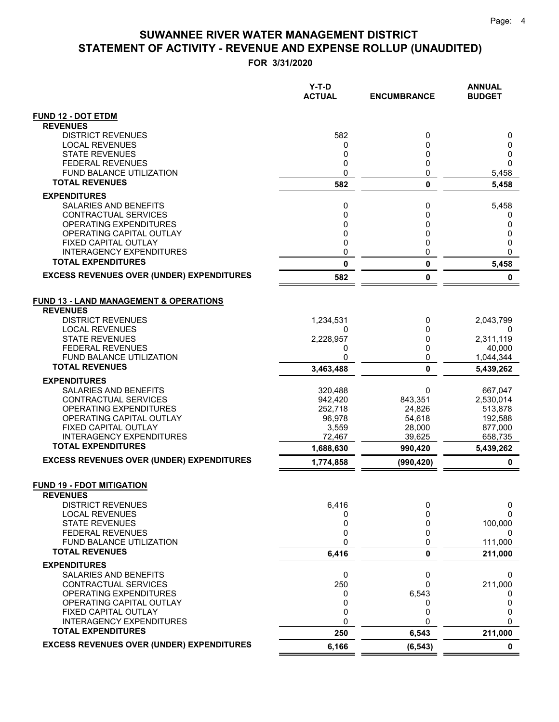|                                                                      | $Y-T-D$<br><b>ACTUAL</b> | <b>ENCUMBRANCE</b> | <b>ANNUAL</b><br><b>BUDGET</b> |
|----------------------------------------------------------------------|--------------------------|--------------------|--------------------------------|
| <b>FUND 12 - DOT ETDM</b>                                            |                          |                    |                                |
| <b>REVENUES</b>                                                      |                          |                    |                                |
| <b>DISTRICT REVENUES</b>                                             | 582                      | 0                  | 0                              |
| <b>LOCAL REVENUES</b>                                                | 0                        | 0                  | 0                              |
| <b>STATE REVENUES</b><br><b>FEDERAL REVENUES</b>                     | 0<br>0                   | 0<br>0             | 0<br>0                         |
| <b>FUND BALANCE UTILIZATION</b>                                      | 0                        | 0                  | 5,458                          |
| <b>TOTAL REVENUES</b>                                                | 582                      | 0                  | 5,458                          |
| <b>EXPENDITURES</b>                                                  |                          |                    |                                |
| SALARIES AND BENEFITS                                                | 0                        | 0                  | 5,458                          |
| CONTRACTUAL SERVICES                                                 | 0                        | 0                  | 0                              |
| OPERATING EXPENDITURES                                               | 0                        | 0                  | 0                              |
| OPERATING CAPITAL OUTLAY                                             | 0                        | 0                  | 0                              |
| FIXED CAPITAL OUTLAY                                                 | 0                        | 0                  | 0                              |
| <b>INTERAGENCY EXPENDITURES</b>                                      | 0                        | 0                  | 0                              |
| <b>TOTAL EXPENDITURES</b>                                            | 0                        | 0                  | 5,458                          |
| <b>EXCESS REVENUES OVER (UNDER) EXPENDITURES</b>                     | 582                      | 0                  | 0                              |
| <b>FUND 13 - LAND MANAGEMENT &amp; OPERATIONS</b><br><b>REVENUES</b> |                          |                    |                                |
| <b>DISTRICT REVENUES</b><br><b>LOCAL REVENUES</b>                    | 1,234,531                | 0<br>0             | 2,043,799                      |
| <b>STATE REVENUES</b>                                                | 0<br>2,228,957           | 0                  | 0<br>2,311,119                 |
| <b>FEDERAL REVENUES</b>                                              | 0                        | 0                  | 40,000                         |
| <b>FUND BALANCE UTILIZATION</b>                                      | 0                        | 0                  | 1,044,344                      |
| <b>TOTAL REVENUES</b>                                                | 3,463,488                | $\mathbf{0}$       | 5,439,262                      |
| <b>EXPENDITURES</b>                                                  |                          |                    |                                |
| SALARIES AND BENEFITS                                                | 320,488                  | 0                  | 667,047                        |
| CONTRACTUAL SERVICES                                                 | 942,420                  | 843,351            | 2,530,014                      |
| OPERATING EXPENDITURES                                               | 252,718                  | 24,826             | 513,878                        |
| OPERATING CAPITAL OUTLAY                                             | 96,978                   | 54,618             | 192,588                        |
| FIXED CAPITAL OUTLAY                                                 | 3,559                    | 28,000             | 877,000                        |
| <b>INTERAGENCY EXPENDITURES</b><br><b>TOTAL EXPENDITURES</b>         | 72,467<br>1,688,630      | 39,625<br>990,420  | 658,735<br>5,439,262           |
| <b>EXCESS REVENUES OVER (UNDER) EXPENDITURES</b>                     | 1,774,858                | (990, 420)         | 0                              |
|                                                                      |                          |                    |                                |
| <b>FUND 19 - FDOT MITIGATION</b>                                     |                          |                    |                                |
| <b>REVENUES</b><br><b>DISTRICT REVENUES</b>                          | 6,416                    |                    |                                |
| <b>LOCAL REVENUES</b>                                                | 0                        | 0<br>0             | 0<br>0                         |
| <b>STATE REVENUES</b>                                                | 0                        | 0                  | 100,000                        |
| <b>FEDERAL REVENUES</b>                                              | 0                        | 0                  | $\Omega$                       |
| FUND BALANCE UTILIZATION                                             | 0                        | 0                  | 111,000                        |
| <b>TOTAL REVENUES</b>                                                | 6,416                    | 0                  | 211,000                        |
| <b>EXPENDITURES</b>                                                  |                          |                    |                                |
| SALARIES AND BENEFITS                                                | 0                        | 0                  | 0                              |
| CONTRACTUAL SERVICES                                                 | 250                      | 0                  | 211,000                        |
| OPERATING EXPENDITURES                                               | 0                        | 6,543              | 0                              |
| OPERATING CAPITAL OUTLAY                                             | 0                        | 0                  | 0                              |
| FIXED CAPITAL OUTLAY                                                 | 0                        | 0                  | 0                              |
| <b>INTERAGENCY EXPENDITURES</b><br><b>TOTAL EXPENDITURES</b>         | 0<br>250                 | 0<br>6,543         | 0<br>211,000                   |
| <b>EXCESS REVENUES OVER (UNDER) EXPENDITURES</b>                     | 6,166                    | (6, 543)           | 0                              |
|                                                                      |                          |                    |                                |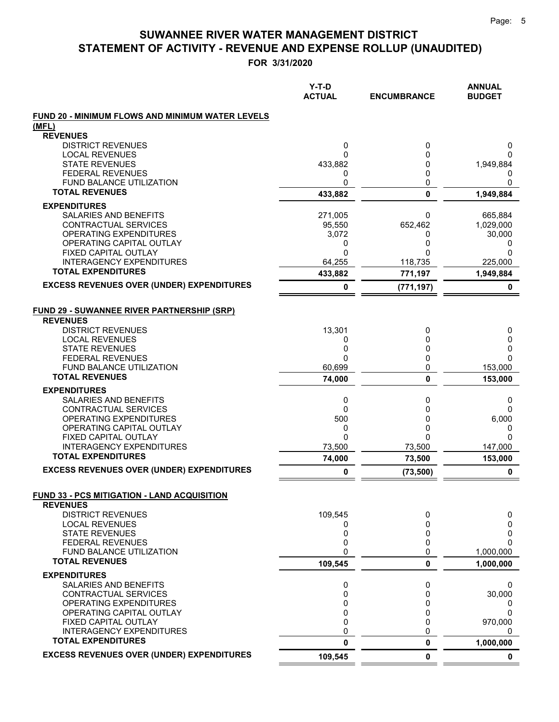|                                                                       | $Y-T-D$<br><b>ACTUAL</b> | <b>ENCUMBRANCE</b>  | <b>ANNUAL</b><br><b>BUDGET</b> |
|-----------------------------------------------------------------------|--------------------------|---------------------|--------------------------------|
| FUND 20 - MINIMUM FLOWS AND MINIMUM WATER LEVELS                      |                          |                     |                                |
| (MFL)                                                                 |                          |                     |                                |
| <b>REVENUES</b>                                                       |                          |                     |                                |
| <b>DISTRICT REVENUES</b>                                              | 0                        | 0                   | 0                              |
| <b>LOCAL REVENUES</b>                                                 | 0                        | 0                   | 0                              |
| <b>STATE REVENUES</b>                                                 | 433,882                  | 0                   | 1,949,884                      |
| <b>FEDERAL REVENUES</b><br>FUND BALANCE UTILIZATION                   | 0<br>0                   | 0<br>0              | 0<br>0                         |
| <b>TOTAL REVENUES</b>                                                 |                          | $\mathbf{0}$        |                                |
|                                                                       | 433,882                  |                     | 1,949,884                      |
| <b>EXPENDITURES</b>                                                   |                          |                     |                                |
| SALARIES AND BENEFITS<br>CONTRACTUAL SERVICES                         | 271,005<br>95,550        | 0<br>652,462        | 665,884<br>1,029,000           |
| OPERATING EXPENDITURES                                                | 3,072                    | 0                   | 30,000                         |
| OPERATING CAPITAL OUTLAY                                              | 0                        | 0                   | 0                              |
| FIXED CAPITAL OUTLAY                                                  | 0                        |                     | 0                              |
| <b>INTERAGENCY EXPENDITURES</b>                                       | 64,255                   | 118,735             | 225,000                        |
| <b>TOTAL EXPENDITURES</b>                                             | 433,882                  | 771,197             | 1,949,884                      |
| <b>EXCESS REVENUES OVER (UNDER) EXPENDITURES</b>                      | 0                        | (771, 197)          | 0                              |
| <b>FUND 29 - SUWANNEE RIVER PARTNERSHIP (SRP)</b>                     |                          |                     |                                |
| <b>REVENUES</b>                                                       |                          |                     |                                |
| <b>DISTRICT REVENUES</b>                                              | 13,301                   | 0                   | 0                              |
| <b>LOCAL REVENUES</b>                                                 | 0                        | 0                   | 0                              |
| <b>STATE REVENUES</b>                                                 | 0                        | 0                   | 0                              |
| <b>FEDERAL REVENUES</b>                                               | 0                        | 0                   | 0                              |
| FUND BALANCE UTILIZATION                                              | 60,699                   | 0                   | 153,000                        |
| <b>TOTAL REVENUES</b>                                                 | 74,000                   | 0                   | 153,000                        |
| <b>EXPENDITURES</b>                                                   |                          |                     |                                |
| SALARIES AND BENEFITS                                                 | 0                        | 0                   | 0                              |
| CONTRACTUAL SERVICES                                                  | $\Omega$                 | 0                   | 0                              |
| OPERATING EXPENDITURES                                                | 500                      | 0                   | 6,000                          |
| OPERATING CAPITAL OUTLAY                                              | 0                        | 0                   | 0                              |
| FIXED CAPITAL OUTLAY<br><b>INTERAGENCY EXPENDITURES</b>               | $\Omega$<br>73,500       | U<br>73,500         | $\Omega$                       |
| <b>TOTAL EXPENDITURES</b>                                             |                          |                     | 147,000                        |
| <b>EXCESS REVENUES OVER (UNDER) EXPENDITURES</b>                      | 74,000<br>0              | 73,500<br>(73, 500) | 153,000<br>0                   |
|                                                                       |                          |                     |                                |
| <b>FUND 33 - PCS MITIGATION - LAND ACQUISITION</b><br><b>REVENUES</b> |                          |                     |                                |
| <b>DISTRICT REVENUES</b>                                              | 109,545                  | 0                   | 0                              |
| <b>LOCAL REVENUES</b>                                                 | 0                        | 0                   | 0                              |
| <b>STATE REVENUES</b>                                                 | 0                        | 0                   | 0                              |
| <b>FEDERAL REVENUES</b>                                               | 0                        | 0                   | 0                              |
| <b>FUND BALANCE UTILIZATION</b>                                       | 0                        | 0                   | 1,000,000                      |
| <b>TOTAL REVENUES</b>                                                 | 109,545                  | 0                   | 1,000,000                      |
| <b>EXPENDITURES</b>                                                   |                          |                     |                                |
| SALARIES AND BENEFITS                                                 | 0                        | 0                   | 0                              |
| <b>CONTRACTUAL SERVICES</b>                                           | 0                        | 0                   | 30,000                         |
| OPERATING EXPENDITURES                                                | 0                        | 0                   | 0                              |
| OPERATING CAPITAL OUTLAY                                              | 0                        | 0                   | 0                              |
| FIXED CAPITAL OUTLAY<br><b>INTERAGENCY EXPENDITURES</b>               | 0<br>0                   | 0<br>0              | 970,000                        |
| <b>TOTAL EXPENDITURES</b>                                             | 0                        | 0                   | 0<br>1,000,000                 |
| <b>EXCESS REVENUES OVER (UNDER) EXPENDITURES</b>                      | 109,545                  | 0                   | 0                              |
|                                                                       |                          |                     |                                |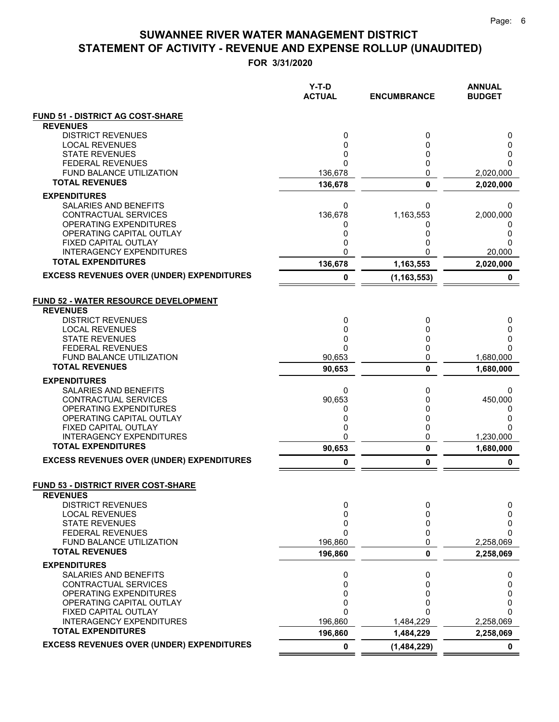|                                                                                            | $Y-T-D$<br><b>ACTUAL</b> | <b>ENCUMBRANCE</b> | <b>ANNUAL</b><br><b>BUDGET</b> |
|--------------------------------------------------------------------------------------------|--------------------------|--------------------|--------------------------------|
| <b>FUND 51 - DISTRICT AG COST-SHARE</b>                                                    |                          |                    |                                |
| <b>REVENUES</b><br><b>DISTRICT REVENUES</b>                                                |                          |                    |                                |
| <b>LOCAL REVENUES</b>                                                                      | 0<br>0                   | 0<br>0             | 0<br>0                         |
| <b>STATE REVENUES</b>                                                                      | 0                        | 0                  | 0                              |
| <b>FEDERAL REVENUES</b>                                                                    | 0                        | 0                  | 0                              |
| FUND BALANCE UTILIZATION                                                                   | 136,678                  | 0                  | 2,020,000                      |
| <b>TOTAL REVENUES</b>                                                                      | 136,678                  | 0                  | 2,020,000                      |
| <b>EXPENDITURES</b>                                                                        |                          |                    |                                |
| SALARIES AND BENEFITS                                                                      | 0                        | 0                  | 0                              |
| CONTRACTUAL SERVICES<br>OPERATING EXPENDITURES                                             | 136,678                  | 1,163,553          | 2,000,000                      |
| OPERATING CAPITAL OUTLAY                                                                   | 0<br>0                   | 0<br>0             | 0<br>0                         |
| FIXED CAPITAL OUTLAY                                                                       | 0                        | 0                  | 0                              |
| <b>INTERAGENCY EXPENDITURES</b>                                                            | 0                        | 0                  | 20,000                         |
| <b>TOTAL EXPENDITURES</b>                                                                  | 136,678                  | 1,163,553          | 2,020,000                      |
| <b>EXCESS REVENUES OVER (UNDER) EXPENDITURES</b>                                           | 0                        | (1, 163, 553)      | 0                              |
| <b>FUND 52 - WATER RESOURCE DEVELOPMENT</b><br><b>REVENUES</b><br><b>DISTRICT REVENUES</b> | 0                        | 0                  | 0                              |
| <b>LOCAL REVENUES</b>                                                                      | 0                        | 0                  | 0                              |
| <b>STATE REVENUES</b><br><b>FEDERAL REVENUES</b>                                           | 0<br>0                   | 0<br>0             | 0<br>ი                         |
| <b>FUND BALANCE UTILIZATION</b>                                                            | 90,653                   | 0                  | 1,680,000                      |
| <b>TOTAL REVENUES</b>                                                                      | 90,653                   | $\mathbf 0$        | 1,680,000                      |
| <b>EXPENDITURES</b>                                                                        |                          |                    |                                |
| SALARIES AND BENEFITS                                                                      | 0                        | 0                  | 0                              |
| CONTRACTUAL SERVICES                                                                       | 90,653                   | 0                  | 450,000                        |
| OPERATING EXPENDITURES                                                                     | 0                        | 0                  | 0                              |
| OPERATING CAPITAL OUTLAY<br>FIXED CAPITAL OUTLAY                                           | 0<br>0                   | 0<br>0             | 0<br>0                         |
| <b>INTERAGENCY EXPENDITURES</b>                                                            | 0                        | 0                  | 1,230,000                      |
| <b>TOTAL EXPENDITURES</b>                                                                  | 90,653                   | 0                  | 1,680,000                      |
| <b>EXCESS REVENUES OVER (UNDER) EXPENDITURES</b>                                           | 0                        | 0                  | 0                              |
| <b>FUND 53 - DISTRICT RIVER COST-SHARE</b>                                                 |                          |                    |                                |
| <b>REVENUES</b>                                                                            |                          |                    |                                |
| <b>DISTRICT REVENUES</b><br><b>LOCAL REVENUES</b>                                          | 0<br>0                   | 0<br>0             | 0<br>0                         |
| <b>STATE REVENUES</b>                                                                      | 0                        | 0                  | 0                              |
| <b>FEDERAL REVENUES</b>                                                                    | 0                        | 0                  | 0                              |
| <b>FUND BALANCE UTILIZATION</b>                                                            | 196,860                  | $\mathbf{0}$       | 2,258,069                      |
| <b>TOTAL REVENUES</b>                                                                      | 196,860                  | 0                  | 2,258,069                      |
| <b>EXPENDITURES</b>                                                                        |                          |                    |                                |
| <b>SALARIES AND BENEFITS</b>                                                               | 0                        | 0                  | 0                              |
| CONTRACTUAL SERVICES<br>OPERATING EXPENDITURES                                             | 0<br>0                   | 0<br>0             | 0<br>0                         |
| OPERATING CAPITAL OUTLAY                                                                   | 0                        | 0                  | 0                              |
| FIXED CAPITAL OUTLAY                                                                       | 0                        | 0                  | 0                              |
| <b>INTERAGENCY EXPENDITURES</b>                                                            | 196,860                  | 1,484,229          | 2,258,069                      |
| <b>TOTAL EXPENDITURES</b>                                                                  | 196,860                  | 1,484,229          | 2,258,069                      |
| <b>EXCESS REVENUES OVER (UNDER) EXPENDITURES</b>                                           | 0                        | (1,484,229)        | 0                              |